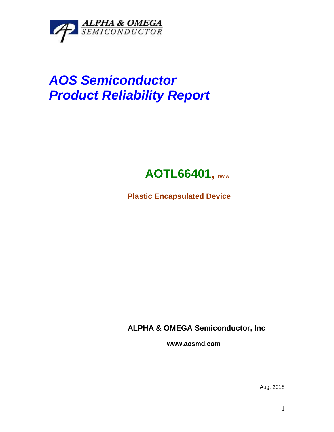

# *AOS Semiconductor Product Reliability Report*

# **AOTL66401, rev <sup>A</sup>**

**Plastic Encapsulated Device**

**ALPHA & OMEGA Semiconductor, Inc**

**www.aosmd.com**

Aug, 2018